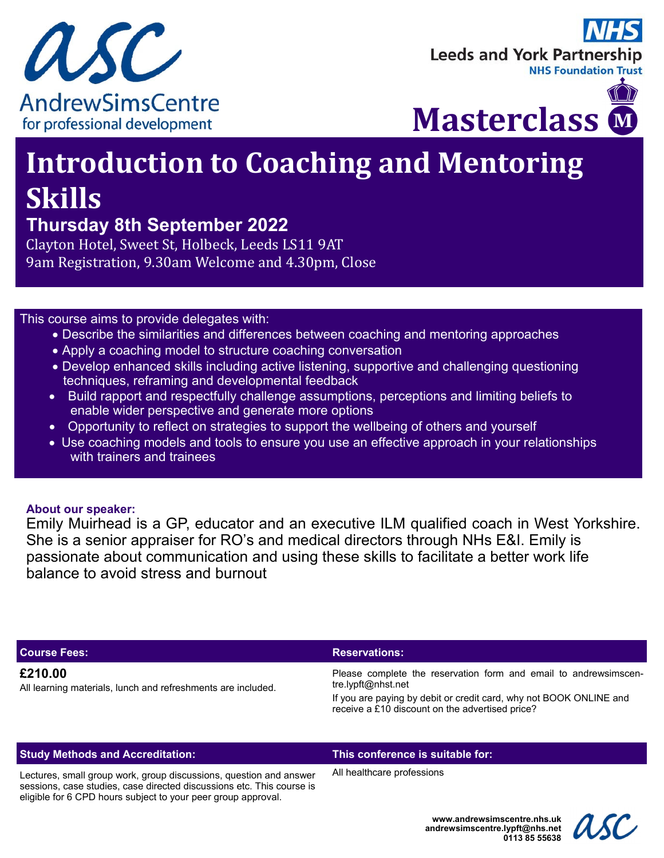

# **Leeds and York Partnership NHS Foundation Trus**



# **Introduction to Coaching and Mentoring Skills**

# **Thursday 8th September 2022**

Clayton Hotel, Sweet St, Holbeck, Leeds LS11 9AT 9am Registration, 9.30am Welcome and 4.30pm, Close

## This course aims to provide delegates with:

- Describe the similarities and differences between coaching and mentoring approaches
- Apply a coaching model to structure coaching conversation
- Develop enhanced skills including active listening, supportive and challenging questioning techniques, reframing and developmental feedback
- Build rapport and respectfully challenge assumptions, perceptions and limiting beliefs to enable wider perspective and generate more options
- Opportunity to reflect on strategies to support the wellbeing of others and yourself
- Use coaching models and tools to ensure you use an effective approach in your relationships with trainers and trainees

## **About our speaker:**

Emily Muirhead is a GP, educator and an executive ILM qualified coach in West Yorkshire. She is a senior appraiser for RO's and medical directors through NHs E&I. Emily is passionate about communication and using these skills to facilitate a better work life balance to avoid stress and burnout

#### **Course Fees: Reservations: Reservations: Reservations: Reservations:**

#### **£210.00**

All learning materials, lunch and refreshments are included.

Please complete the reservation form and email to andrewsimscentre.lypft@nhst.net

If you are paying by debit or credit card, why not BOOK ONLINE and receive a £10 discount on the advertised price?

#### **Study Methods and Accreditation: This conference is suitable for:**

Lectures, small group work, group discussions, question and answer sessions, case studies, case directed discussions etc. This course is eligible for 6 CPD hours subject to your peer group approval.

All healthcare professions